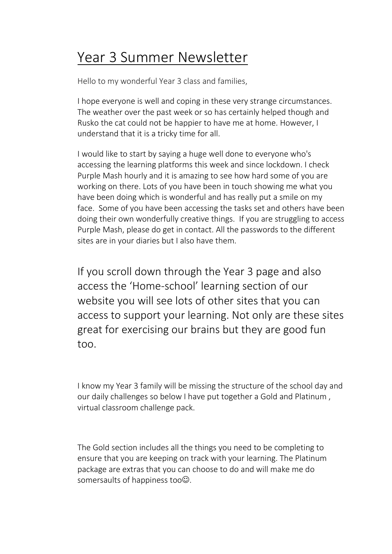# Year 3 Summer Newsletter

Hello to my wonderful Year 3 class and families,

I hope everyone is well and coping in these very strange circumstances. The weather over the past week or so has certainly helped though and Rusko the cat could not be happier to have me at home. However, I understand that it is a tricky time for all.

I would like to start by saying a huge well done to everyone who's accessing the learning platforms this week and since lockdown. I check Purple Mash hourly and it is amazing to see how hard some of you are working on there. Lots of you have been in touch showing me what you have been doing which is wonderful and has really put a smile on my face. Some of you have been accessing the tasks set and others have been doing their own wonderfully creative things. If you are struggling to access Purple Mash, please do get in contact. All the passwords to the different sites are in your diaries but I also have them.

If you scroll down through the Year 3 page and also access the 'Home-school' learning section of our website you will see lots of other sites that you can access to support your learning. Not only are these sites great for exercising our brains but they are good fun too.

I know my Year 3 family will be missing the structure of the school day and our daily challenges so below I have put together a Gold and Platinum , virtual classroom challenge pack.

The Gold section includes all the things you need to be completing to ensure that you are keeping on track with your learning. The Platinum package are extras that you can choose to do and will make me do somersaults of happiness too $\odot$ .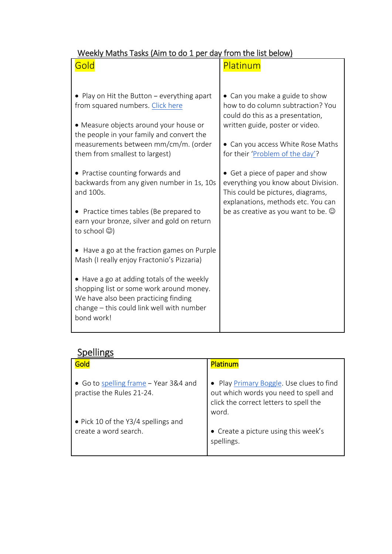#### Weekly Maths Tasks (Aim to do 1 per day from the list below)

| Gold                                                                                                                                                                                      | Platinum                                                                                                                                          |
|-------------------------------------------------------------------------------------------------------------------------------------------------------------------------------------------|---------------------------------------------------------------------------------------------------------------------------------------------------|
|                                                                                                                                                                                           |                                                                                                                                                   |
| • Play on Hit the Button - everything apart<br>from squared numbers. Click here<br>• Measure objects around your house or<br>the people in your family and convert the                    | • Can you make a guide to show<br>how to do column subtraction? You<br>could do this as a presentation,<br>written guide, poster or video.        |
| measurements between mm/cm/m. (order<br>them from smallest to largest)                                                                                                                    | • Can you access White Rose Maths<br>for their 'Problem of the day'?                                                                              |
| • Practise counting forwards and<br>backwards from any given number in 1s, 10s<br>and 100s.                                                                                               | • Get a piece of paper and show<br>everything you know about Division.<br>This could be pictures, diagrams,<br>explanations, methods etc. You can |
| • Practice times tables (Be prepared to<br>earn your bronze, silver and gold on return<br>to school $\circledcirc$ )                                                                      | be as creative as you want to be. $\odot$                                                                                                         |
| • Have a go at the fraction games on Purple<br>Mash (I really enjoy Fractonio's Pizzaria)                                                                                                 |                                                                                                                                                   |
| • Have a go at adding totals of the weekly<br>shopping list or some work around money.<br>We have also been practicing finding<br>change – this could link well with number<br>bond work! |                                                                                                                                                   |

## **Spellings**

| Gold                                                               | <b>Platinum</b>                                                                                                                      |
|--------------------------------------------------------------------|--------------------------------------------------------------------------------------------------------------------------------------|
| • Go to spelling frame - Year 3&4 and<br>practise the Rules 21-24. | • Play Primary Boggle. Use clues to find<br>out which words you need to spell and<br>click the correct letters to spell the<br>word. |
| • Pick 10 of the Y3/4 spellings and<br>create a word search.       | • Create a picture using this week's<br>spellings.                                                                                   |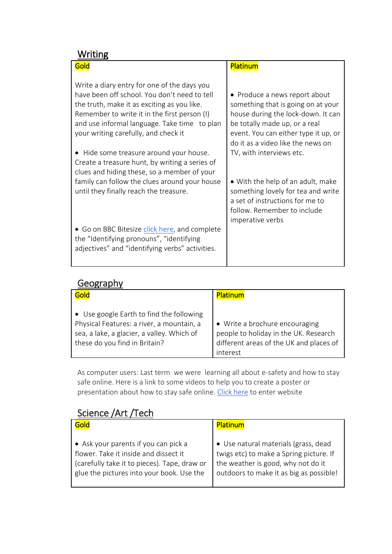#### **Writing**

| Gold                                                                                                                                                                                                                                                                               | Platinum                                                                                                                                                                                                                |
|------------------------------------------------------------------------------------------------------------------------------------------------------------------------------------------------------------------------------------------------------------------------------------|-------------------------------------------------------------------------------------------------------------------------------------------------------------------------------------------------------------------------|
| Write a diary entry for one of the days you<br>have been off school. You don't need to tell<br>the truth, make it as exciting as you like.<br>Remember to write it in the first person (I)<br>and use informal language. Take time to plan<br>your writing carefully, and check it | • Produce a news report about<br>something that is going on at your<br>house during the lock-down. It can<br>be totally made up, or a real<br>event. You can either type it up, or<br>do it as a video like the news on |
| • Hide some treasure around your house.<br>Create a treasure hunt, by writing a series of<br>clues and hiding these, so a member of your<br>family can follow the clues around your house<br>until they finally reach the treasure.                                                | TV, with interviews etc.<br>• With the help of an adult, make<br>something lovely for tea and write<br>a set of instructions for me to<br>follow. Remember to include<br>imperative verbs                               |
| • Go on BBC Bitesize click here, and complete<br>the "Identifying pronouns", "identifying<br>adjectives" and "identifying verbs" activities.                                                                                                                                       |                                                                                                                                                                                                                         |

#### Geography

| Gold                                       | <b>Platinum</b>                         |
|--------------------------------------------|-----------------------------------------|
| • Use google Earth to find the following   | • Write a brochure encouraging          |
| Physical Features: a river, a mountain, a  | people to holiday in the UK. Research   |
| sea, a lake, a glacier, a valley. Which of | different areas of the UK and places of |
| these do you find in Britain?              | interest                                |

As computer users: Last term we were learning all about e-safety and how to stay safe online. Here is a link to some videos to help you to create a poster or presentation about how to stay safe online. [Click here](https://www.childnet.com/resources/the-adventures-of-kara-winston-and-the-smart-crew) to enter website

### Science /Art /Tech

| Gold                                         | Platinum                                |
|----------------------------------------------|-----------------------------------------|
| • Ask your parents if you can pick a         | • Use natural materials (grass, dead    |
| flower. Take it inside and dissect it        | twigs etc) to make a Spring picture. If |
| (carefully take it to pieces). Tape, draw or | the weather is good, why not do it      |
| glue the pictures into your book. Use the    | outdoors to make it as big as possible! |